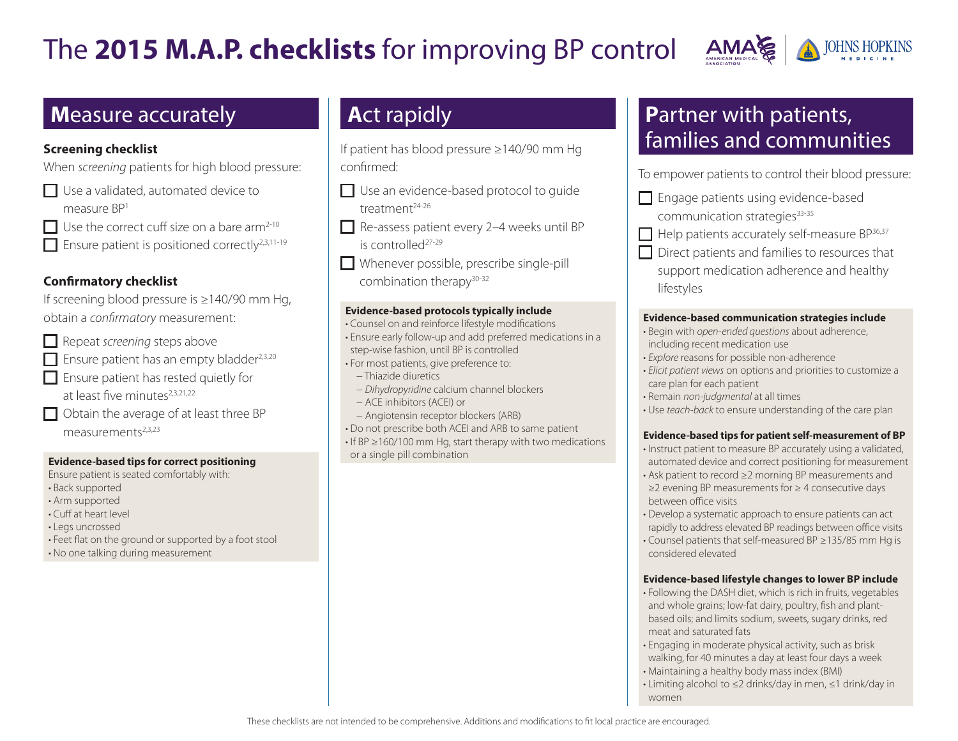# The **2015 M.A.P. checklists** for improving BP control



### **M**easure accurately

#### **Screening checklist**

When *screening* patients for high blood pressure:

- Use a validated, automated device to measure BP1
- $\Box$  Use the correct cuff size on a bare arm<sup>2-10</sup>
- Ensure patient is positioned correctly2,3,11-19

#### **Confirmatory checklist**

If screening blood pressure is ≥140/90 mm Hg, obtain a *confirmatory* measurement:

- Repeat *screening* steps above
- Ensure patient has an empty bladder<sup>2,3,20</sup>
- Ensure patient has rested quietly for at least five minutes<sup>2,3,21,22</sup>
- Obtain the average of at least three BP  $measurable<sup>2,3,23</sup>$

#### **Evidence-based tips for correct positioning**

Ensure patient is seated comfortably with: • Back supported • Arm supported • Cuff at heart level • Legs uncrossed • Feet flat on the ground or supported by a foot stool • No one talking during measurement

# **A**ct rapidly

If patient has blood pressure ≥140/90 mm Hg confirmed:

- Use an evidence-based protocol to quide treatment<sup>24-26</sup>
- Re-assess patient every 2-4 weeks until BP is controlled27-29
- Whenever possible, prescribe single-pill combination therapy<sup>30-32</sup>

#### **Evidence-based protocols typically include**

- Counsel on and reinforce lifestyle modifications
- Ensure early follow-up and add preferred medications in a step-wise fashion, until BP is controlled
- For most patients, give preference to:
- − Thiazide diuretics
- − *Dihydropyridine* calcium channel blockers
- − ACE inhibitors (ACEI) or
- − Angiotensin receptor blockers (ARB)
- Do not prescribe both ACEI and ARB to same patient
- If BP ≥160/100 mm Hg, start therapy with two medications or a single pill combination

## **P**artner with patients, families and communities

To empower patients to control their blood pressure:

- Engage patients using evidence-based communication strategies<sup>33-35</sup>
- $\Box$  Help patients accurately self-measure BP $^{36,37}$
- Direct patients and families to resources that

support medication adherence and healthy lifestyles

#### **Evidence-based communication strategies include**

- Begin with *open-ended questions* about adherence, including recent medication use
- *Explore* reasons for possible non-adherence
- *Elicit patient views* on options and priorities to customize a care plan for each patient
- Remain *non-judgmental* at all times
- Use *teach-back* to ensure understanding of the care plan

#### **Evidence-based tips for patient self-measurement of BP**

- Instruct patient to measure BP accurately using a validated, automated device and correct positioning for measurement
- Ask patient to record ≥2 morning BP measurements and ≥2 evening BP measurements for ≥ 4 consecutive days between office visits
- Develop a systematic approach to ensure patients can act rapidly to address elevated BP readings between office visits
- Counsel patients that self-measured BP ≥135/85 mm Hg is considered elevated

#### **Evidence-based lifestyle changes to lower BP include**

- Following the DASH diet, which is rich in fruits, vegetables and whole grains; low-fat dairy, poultry, fish and plantbased oils; and limits sodium, sweets, sugary drinks, red meat and saturated fats
- Engaging in moderate physical activity, such as brisk walking, for 40 minutes a day at least four days a week
- Maintaining a healthy body mass index (BMI)
- Limiting alcohol to ≤2 drinks/day in men, ≤1 drink/day in women